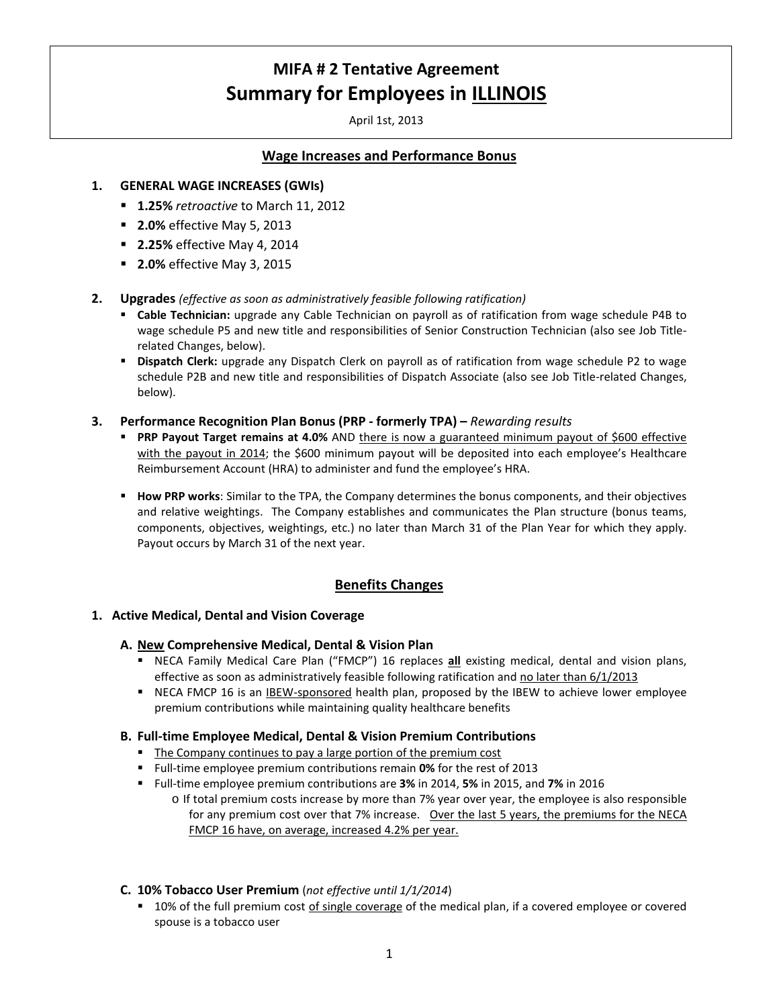April 1st, 2013

# **Wage Increases and Performance Bonus**

## **1. GENERAL WAGE INCREASES (GWIs)**

- **1.25%** *retroactive* to March 11, 2012
- **2.0%** effective May 5, 2013
- **2.25%** effective May 4, 2014
- **2.0%** effective May 3, 2015
- **2. Upgrades** *(effective as soon as administratively feasible following ratification)*
	- **Cable Technician:** upgrade any Cable Technician on payroll as of ratification from wage schedule P4B to wage schedule P5 and new title and responsibilities of Senior Construction Technician (also see Job Titlerelated Changes, below).
	- **Dispatch Clerk:** upgrade any Dispatch Clerk on payroll as of ratification from wage schedule P2 to wage schedule P2B and new title and responsibilities of Dispatch Associate (also see Job Title-related Changes, below).
- **3. Performance Recognition Plan Bonus (PRP - formerly TPA) –** *Rewarding results*
	- **PRP Payout Target remains at 4.0%** AND there is now a guaranteed minimum payout of \$600 effective with the payout in 2014; the \$600 minimum payout will be deposited into each employee's Healthcare Reimbursement Account (HRA) to administer and fund the employee's HRA.
	- **How PRP works**: Similar to the TPA, the Company determines the bonus components, and their objectives and relative weightings. The Company establishes and communicates the Plan structure (bonus teams, components, objectives, weightings, etc.) no later than March 31 of the Plan Year for which they apply. Payout occurs by March 31 of the next year.

# **Benefits Changes**

## **1. Active Medical, Dental and Vision Coverage**

#### **A. New Comprehensive Medical, Dental & Vision Plan**

- **NECA Family Medical Care Plan ("FMCP") 16 replaces all existing medical, dental and vision plans,** effective as soon as administratively feasible following ratification and no later than 6/1/2013
- NECA FMCP 16 is an IBEW-sponsored health plan, proposed by the IBEW to achieve lower employee premium contributions while maintaining quality healthcare benefits

#### **B. Full-time Employee Medical, Dental & Vision Premium Contributions**

- **The Company continues to pay a large portion of the premium cost**
- Full-time employee premium contributions remain **0%** for the rest of 2013
- Full-time employee premium contributions are **3%** in 2014, **5%** in 2015, and **7%** in 2016
	- o If total premium costs increase by more than 7% year over year, the employee is also responsible for any premium cost over that 7% increase.Over the last 5 years, the premiums for the NECA FMCP 16 have, on average, increased 4.2% per year.

## **C. 10% Tobacco User Premium** (*not effective until 1/1/2014*)

**10%** of the full premium cost of single coverage of the medical plan, if a covered employee or covered spouse is a tobacco user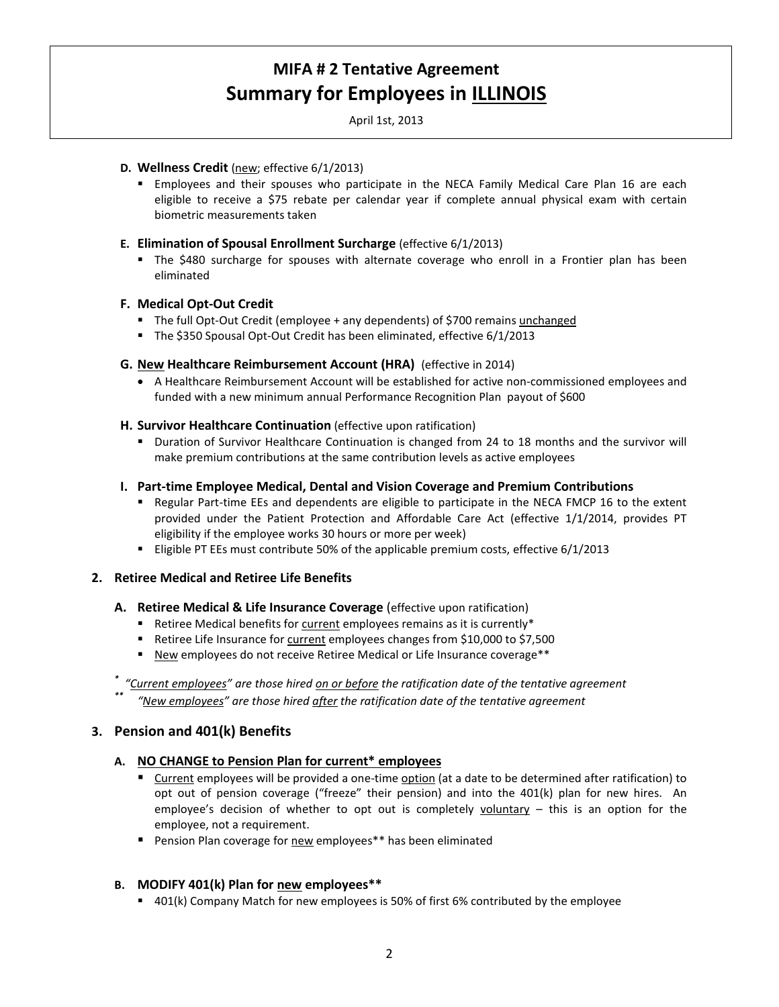April 1st, 2013

### **D. Wellness Credit** (new; effective 6/1/2013)

 Employees and their spouses who participate in the NECA Family Medical Care Plan 16 are each eligible to receive a \$75 rebate per calendar year if complete annual physical exam with certain biometric measurements taken

## **E. Elimination of Spousal Enrollment Surcharge** (effective 6/1/2013)

 The \$480 surcharge for spouses with alternate coverage who enroll in a Frontier plan has been eliminated

## **F. Medical Opt-Out Credit**

- The full Opt-Out Credit (employee + any dependents) of \$700 remains unchanged
- The \$350 Spousal Opt-Out Credit has been eliminated, effective 6/1/2013

## **G. New Healthcare Reimbursement Account (HRA)** (effective in 2014)

• A Healthcare Reimbursement Account will be established for active non-commissioned employees and funded with a new minimum annual Performance Recognition Plan payout of \$600

#### **H. Survivor Healthcare Continuation** (effective upon ratification)

 Duration of Survivor Healthcare Continuation is changed from 24 to 18 months and the survivor will make premium contributions at the same contribution levels as active employees

## **I. Part-time Employee Medical, Dental and Vision Coverage and Premium Contributions**

- Regular Part-time EEs and dependents are eligible to participate in the NECA FMCP 16 to the extent provided under the Patient Protection and Affordable Care Act (effective 1/1/2014, provides PT eligibility if the employee works 30 hours or more per week)
- Eligible PT EEs must contribute 50% of the applicable premium costs, effective 6/1/2013

#### **2. Retiree Medical and Retiree Life Benefits**

#### **A. Retiree Medical & Life Insurance Coverage** (effective upon ratification)

- Retiree Medical benefits for current employees remains as it is currently\*
- Retiree Life Insurance for current employees changes from \$10,000 to \$7,500
- New employees do not receive Retiree Medical or Life Insurance coverage\*\*

#### *\* "Current employees" are those hired on or before the ratification date of the tentative agreement*

*\*\* "New employees" are those hired after the ratification date of the tentative agreement*

## **3. Pension and 401(k) Benefits**

## **A. NO CHANGE to Pension Plan for current\* employees**

- Current employees will be provided a one-time option (at a date to be determined after ratification) to opt out of pension coverage ("freeze" their pension) and into the 401(k) plan for new hires. An employee's decision of whether to opt out is completely  $voluntary - this$  is an option for the employee, not a requirement.
- **Pension Plan coverage for new employees\*\*** has been eliminated

## **B. MODIFY 401(k) Plan for new employees\*\***

401(k) Company Match for new employees is 50% of first 6% contributed by the employee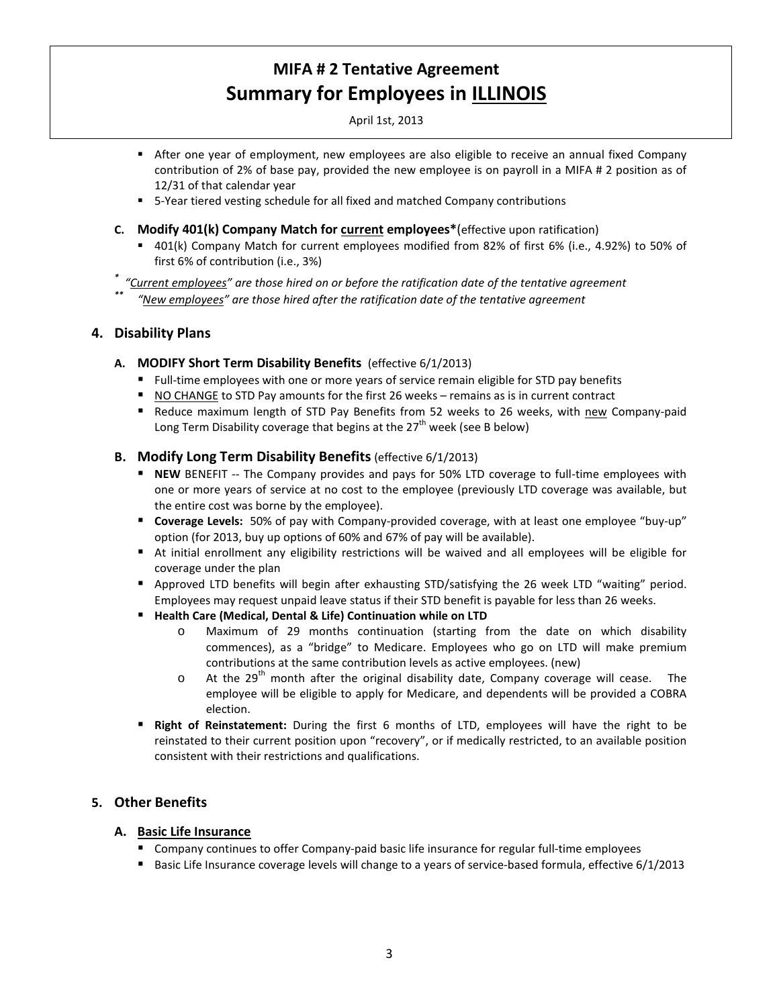April 1st, 2013

- After one year of employment, new employees are also eligible to receive an annual fixed Company contribution of 2% of base pay, provided the new employee is on payroll in a MIFA # 2 position as of 12/31 of that calendar year
- 5-Year tiered vesting schedule for all fixed and matched Company contributions
- **C. Modify 401(k) Company Match for current employees\***(effective upon ratification)
	- 401(k) Company Match for current employees modified from 82% of first 6% (i.e., 4.92%) to 50% of first 6% of contribution (i.e., 3%)
- *\* "Current employees" are those hired on or before the ratification date of the tentative agreement*
	- *\*\* "New employees" are those hired after the ratification date of the tentative agreement*

# **4. Disability Plans**

- **A. MODIFY Short Term Disability Benefits** (effective 6/1/2013)
	- Full-time employees with one or more years of service remain eligible for STD pay benefits
	- NO CHANGE to STD Pay amounts for the first 26 weeks remains as is in current contract
	- Reduce maximum length of STD Pay Benefits from 52 weeks to 26 weeks, with new Company-paid Long Term Disability coverage that begins at the  $27<sup>th</sup>$  week (see B below)

# **B. Modify Long Term Disability Benefits** (effective 6/1/2013)

- **NEW** BENEFIT -- The Company provides and pays for 50% LTD coverage to full-time employees with one or more years of service at no cost to the employee (previously LTD coverage was available, but the entire cost was borne by the employee).
- **Coverage Levels:** 50% of pay with Company-provided coverage, with at least one employee "buy-up" option (for 2013, buy up options of 60% and 67% of pay will be available).
- At initial enrollment any eligibility restrictions will be waived and all employees will be eligible for coverage under the plan
- Approved LTD benefits will begin after exhausting STD/satisfying the 26 week LTD "waiting" period. Employees may request unpaid leave status if their STD benefit is payable for less than 26 weeks.
- **Health Care (Medical, Dental & Life) Continuation while on LTD** 
	- o Maximum of 29 months continuation (starting from the date on which disability commences), as a "bridge" to Medicare. Employees who go on LTD will make premium contributions at the same contribution levels as active employees. (new)
	- $\circ$  At the 29<sup>th</sup> month after the original disability date, Company coverage will cease. The employee will be eligible to apply for Medicare, and dependents will be provided a COBRA election.
- **Right of Reinstatement:** During the first 6 months of LTD, employees will have the right to be reinstated to their current position upon "recovery", or if medically restricted, to an available position consistent with their restrictions and qualifications.

# **5. Other Benefits**

## **A. Basic Life Insurance**

- Company continues to offer Company-paid basic life insurance for regular full-time employees
- Basic Life Insurance coverage levels will change to a years of service-based formula, effective 6/1/2013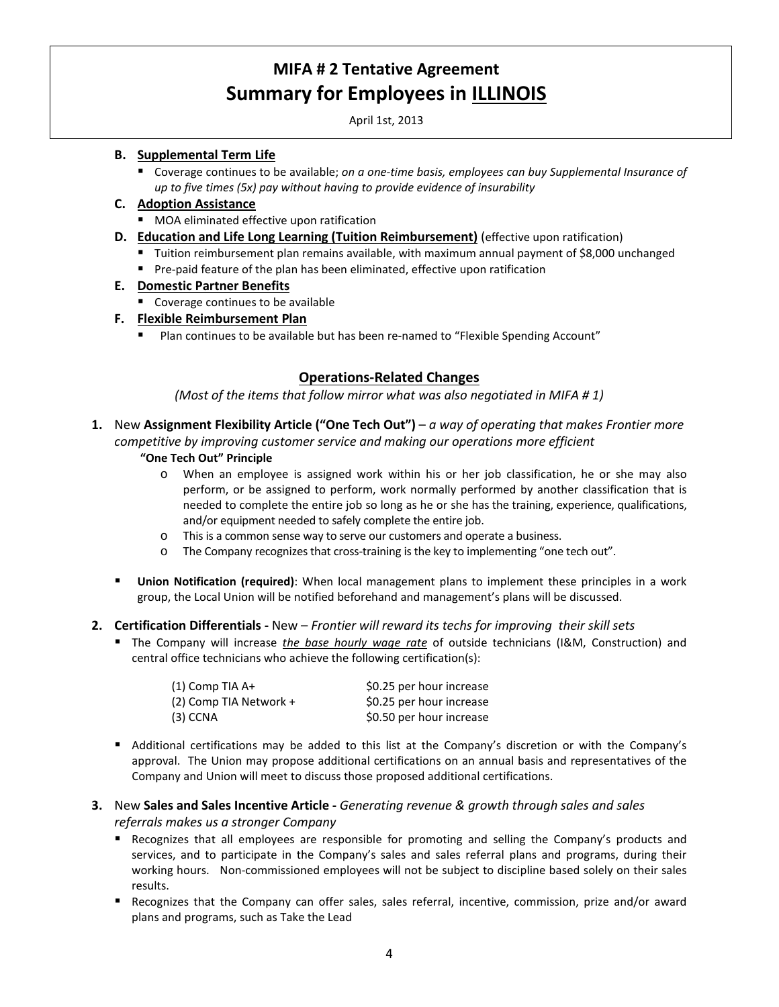April 1st, 2013

## **B. Supplemental Term Life**

 Coverage continues to be available; *on a one-time basis, employees can buy Supplemental Insurance of up to five times (5x) pay without having to provide evidence of insurability*

## **C. Adoption Assistance**

- **MOA** eliminated effective upon ratification
- **D. Education and Life Long Learning (Tuition Reimbursement)** (effective upon ratification)
	- Tuition reimbursement plan remains available, with maximum annual payment of \$8,000 unchanged
	- **Pre-paid feature of the plan has been eliminated, effective upon ratification**

# **E. Domestic Partner Benefits**

- Coverage continues to be available
- **F. Flexible Reimbursement Plan** 
	- Plan continues to be available but has been re-named to "Flexible Spending Account"

# **Operations-Related Changes**

*(Most of the items that follow mirror what was also negotiated in MIFA # 1)*

**1.** New **Assignment Flexibility Article ("One Tech Out")** – *a way of operating that makes Frontier more competitive by improving customer service and making our operations more efficient*

## **"One Tech Out" Principle**

- o When an employee is assigned work within his or her job classification, he or she may also perform, or be assigned to perform, work normally performed by another classification that is needed to complete the entire job so long as he or she has the training, experience, qualifications, and/or equipment needed to safely complete the entire job.
- o This is a common sense way to serve our customers and operate a business.
- o The Company recognizes that cross-training is the key to implementing "one tech out".
- **Union Notification (required)**: When local management plans to implement these principles in a work group, the Local Union will be notified beforehand and management's plans will be discussed.

## **2. Certification Differentials -** New – *Frontier will reward its techs for improving their skill sets*

 The Company will increase *the base hourly wage rate* of outside technicians (I&M, Construction) and central office technicians who achieve the following certification(s):

| (1) Comp TIA A+        | \$0.25 per hour increase |
|------------------------|--------------------------|
| (2) Comp TIA Network + | \$0.25 per hour increase |
| (3) CCNA               | \$0.50 per hour increase |

- Additional certifications may be added to this list at the Company's discretion or with the Company's approval. The Union may propose additional certifications on an annual basis and representatives of the Company and Union will meet to discuss those proposed additional certifications.
- **3.** New **Sales and Sales Incentive Article -** *Generating revenue & growth through sales and sales referrals makes us a stronger Company*
	- **Recognizes that all employees are responsible for promoting and selling the Company's products and** services, and to participate in the Company's sales and sales referral plans and programs, during their working hours. Non-commissioned employees will not be subject to discipline based solely on their sales results.
	- Recognizes that the Company can offer sales, sales referral, incentive, commission, prize and/or award plans and programs, such as Take the Lead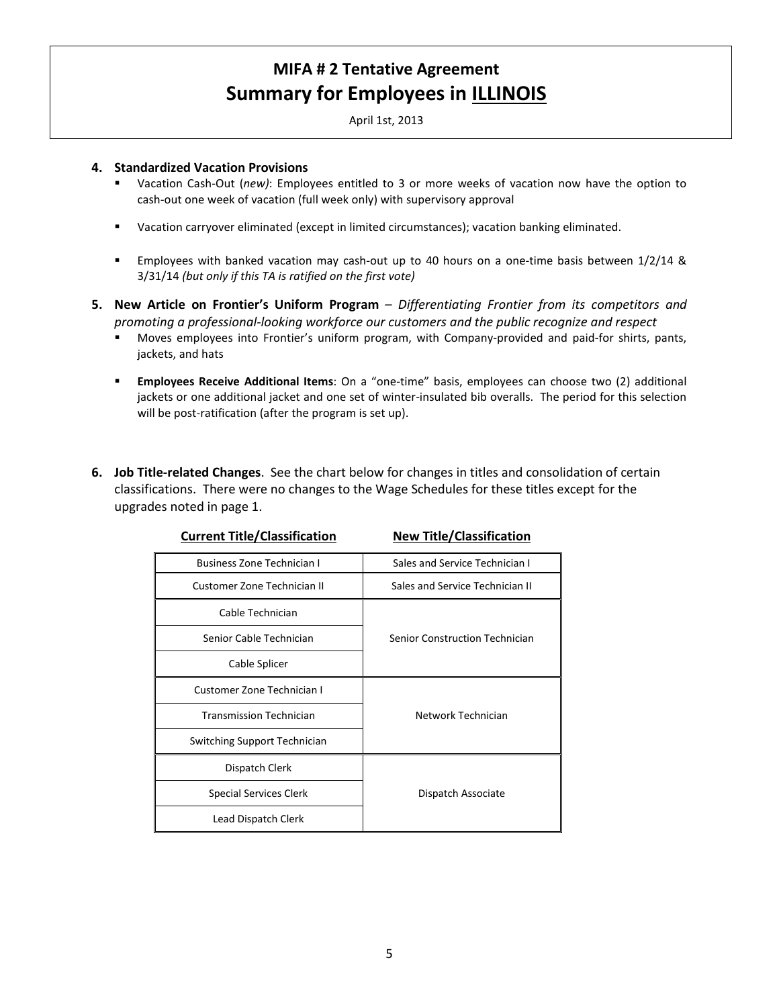April 1st, 2013

### **4. Standardized Vacation Provisions**

- Vacation Cash-Out (*new)*: Employees entitled to 3 or more weeks of vacation now have the option to cash-out one week of vacation (full week only) with supervisory approval
- Vacation carryover eliminated (except in limited circumstances); vacation banking eliminated.
- Employees with banked vacation may cash-out up to 40 hours on a one-time basis between 1/2/14 & 3/31/14 *(but only if this TA is ratified on the first vote)*
- **5. New Article on Frontier's Uniform Program** *Differentiating Frontier from its competitors and promoting a professional-looking workforce our customers and the public recognize and respect*
	- Moves employees into Frontier's uniform program, with Company-provided and paid-for shirts, pants, jackets, and hats
	- **Employees Receive Additional Items**: On a "one-time" basis, employees can choose two (2) additional jackets or one additional jacket and one set of winter-insulated bib overalls. The period for this selection will be post-ratification (after the program is set up).
- **6. Job Title-related Changes**. See the chart below for changes in titles and consolidation of certain classifications. There were no changes to the Wage Schedules for these titles except for the upgrades noted in page 1.

| <b>Business Zone Technician I</b> | Sales and Service Technician I  |
|-----------------------------------|---------------------------------|
| Customer Zone Technician II       | Sales and Service Technician II |
| Cable Technician                  |                                 |
| Senior Cable Technician           | Senior Construction Technician  |
| Cable Splicer                     |                                 |
| Customer Zone Technician I        |                                 |
| <b>Transmission Technician</b>    | Network Technician              |
| Switching Support Technician      |                                 |
| Dispatch Clerk                    |                                 |
| <b>Special Services Clerk</b>     | Dispatch Associate              |
| Lead Dispatch Clerk               |                                 |

## **Current Title/Classification New Title/Classification**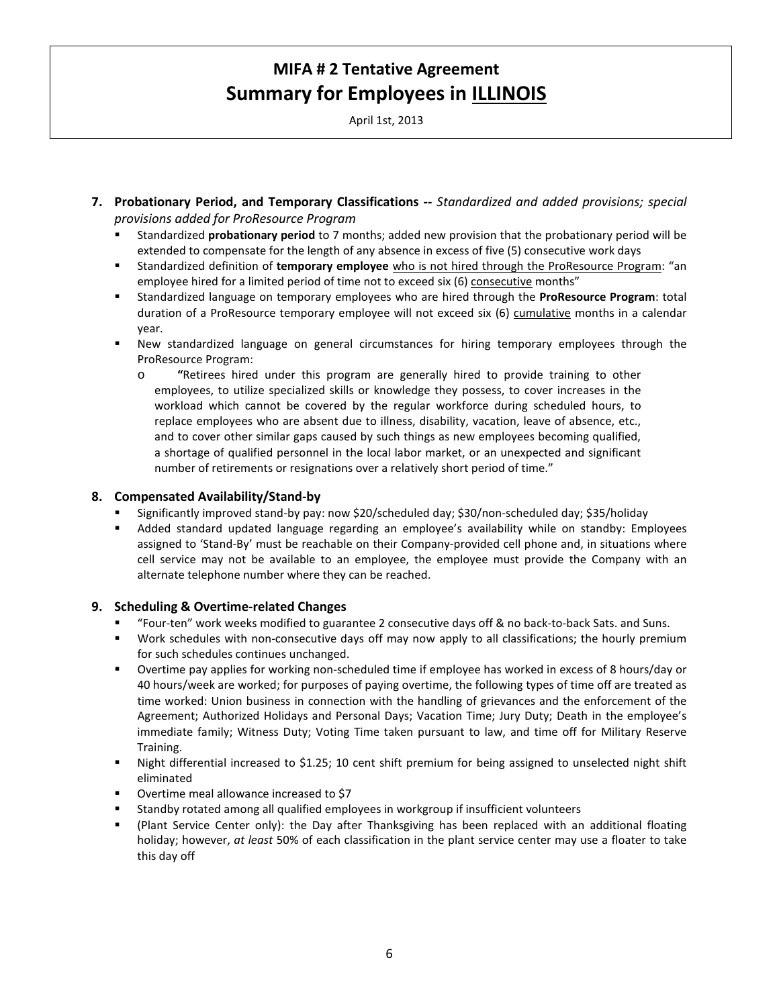April 1st, 2013

- **7. Probationary Period, and Temporary Classifications --** *Standardized and added provisions; special provisions added for ProResource Program* 
	- Standardized **probationary period** to 7 months; added new provision that the probationary period will be extended to compensate for the length of any absence in excess of five (5) consecutive work days
	- Standardized definition of **temporary employee** who is not hired through the ProResource Program: "an employee hired for a limited period of time not to exceed six (6) consecutive months"
	- Standardized language on temporary employees who are hired through the **ProResource Program**: total duration of a ProResource temporary employee will not exceed six (6) cumulative months in a calendar year.
	- New standardized language on general circumstances for hiring temporary employees through the ProResource Program:
		- o **"**Retirees hired under this program are generally hired to provide training to other employees, to utilize specialized skills or knowledge they possess, to cover increases in the workload which cannot be covered by the regular workforce during scheduled hours, to replace employees who are absent due to illness, disability, vacation, leave of absence, etc., and to cover other similar gaps caused by such things as new employees becoming qualified, a shortage of qualified personnel in the local labor market, or an unexpected and significant number of retirements or resignations over a relatively short period of time."

## **8. Compensated Availability/Stand-by**

- Significantly improved stand-by pay: now \$20/scheduled day; \$30/non-scheduled day; \$35/holiday
- Added standard updated language regarding an employee's availability while on standby: Employees assigned to 'Stand-By' must be reachable on their Company-provided cell phone and, in situations where cell service may not be available to an employee, the employee must provide the Company with an alternate telephone number where they can be reached.

#### **9. Scheduling & Overtime-related Changes**

- "Four-ten" work weeks modified to guarantee 2 consecutive days off & no back-to-back Sats. and Suns.
- Work schedules with non-consecutive days off may now apply to all classifications; the hourly premium for such schedules continues unchanged.
- Overtime pay applies for working non-scheduled time if employee has worked in excess of 8 hours/day or 40 hours/week are worked; for purposes of paying overtime, the following types of time off are treated as time worked: Union business in connection with the handling of grievances and the enforcement of the Agreement; Authorized Holidays and Personal Days; Vacation Time; Jury Duty; Death in the employee's immediate family; Witness Duty; Voting Time taken pursuant to law, and time off for Military Reserve Training.
- Night differential increased to \$1.25; 10 cent shift premium for being assigned to unselected night shift eliminated
- Overtime meal allowance increased to \$7
- Standby rotated among all qualified employees in workgroup if insufficient volunteers
- (Plant Service Center only): the Day after Thanksgiving has been replaced with an additional floating holiday; however, *at least* 50% of each classification in the plant service center may use a floater to take this day off